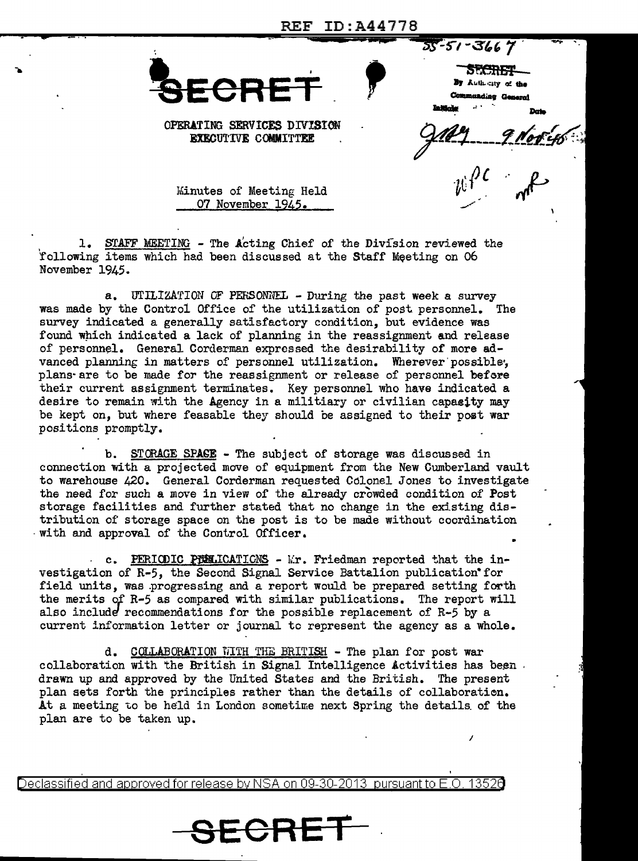REF ID:A44778



55-51-3667 **SECRET** Authority of the **Adiac General** 

OPERATING SERVICES DIVISION **EXECUTIVE COMMITTEE** 

Minutes of Meeting Held 07 November 1945.

1. STAFF MEETING - The Acting Chief of the Division reviewed the following items which had been discussed at the Staff Meeting on 06 November 1945.

a. UTILIZATION OF PERSONNEL - During the past week a survey was made by the Control Office of the utilization of post personnel. The survey indicated a generally satisfactory condition, but evidence was found which indicated a lack of planning in the reassignment and release of personnel. General Corderman expressed the desirability of more advanced planning in matters of personnel utilization. Wherever possible, plans are to be made for the reassignment or release of personnel before their current assignment terminates. Key personnel who have indicated a desire to remain with the Agency in a militiary or civilian capacity may be kept on, but where feasable they should be assigned to their post war positions promptly.

b. STORAGE SPACE - The subject of storage was discussed in connection with a projected move of equipment from the New Cumberland vault to warehouse 420. General Corderman requested Colonel Jones to investigate the need for such a move in view of the already crowded condition of Post storage facilities and further stated that no change in the existing distribution of storage space on the post is to be made without coordination with and approval of the Control Officer.

c. PERIODIC PERICATIONS - Mr. Friedman reported that the investigation of R-5, the Second Signal Service Battalion publication for field units, was progressing and a report would be prepared setting forth the merits of R-5 as compared with similar publications. The report will also include recommendations for the possible replacement of R-5 by a current information letter or journal to represent the agency as a whole.

d. COLLABORATION WITH THE BRITISH - The plan for post war collaboration with the British in Signal Intelligence Activities has been. drawn up and approved by the United States and the British. The present plan sets forth the principles rather than the details of collaboration. At a meeting to be held in London sometime next Spring the details of the plan are to be taken up.

Declassified and approved for release by NSA on 09-30-2013 pursuant to E.O 13526